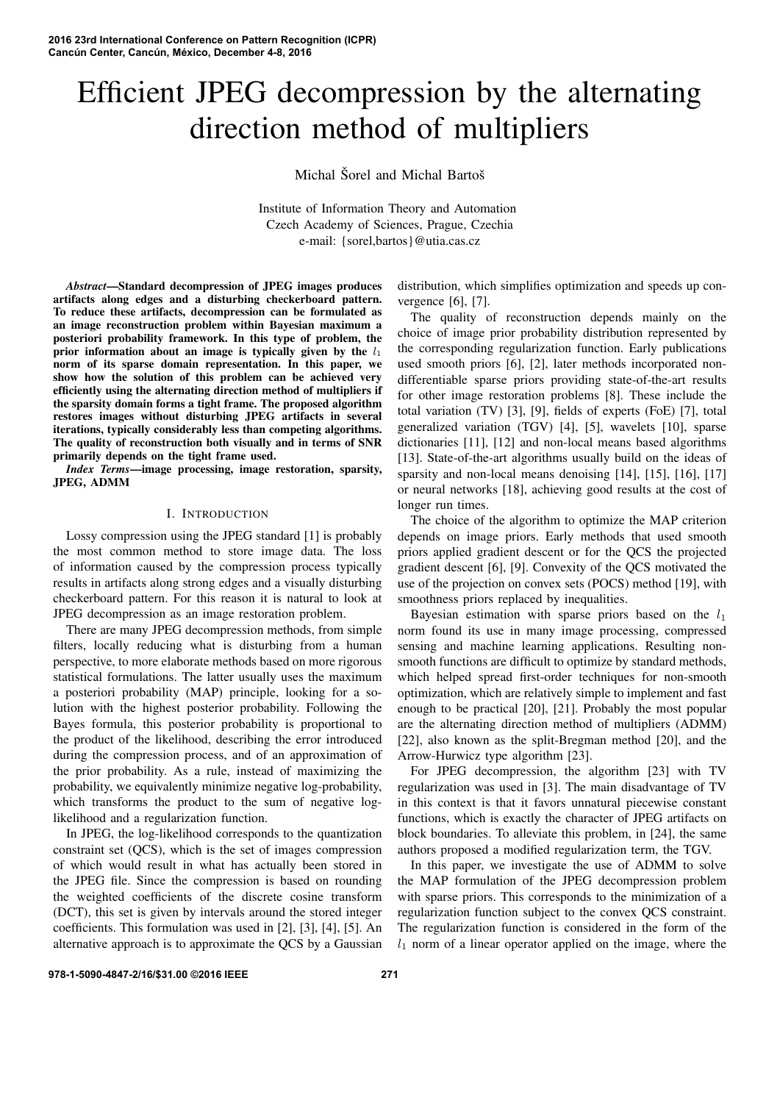# Efficient JPEG decompression by the alternating direction method of multipliers

Michal Šorel and Michal Bartoš

Institute of Information Theory and Automation Czech Academy of Sciences, Prague, Czechia e-mail: {sorel,bartos}@utia.cas.cz

*Abstract*—Standard decompression of JPEG images produces artifacts along edges and a disturbing checkerboard pattern. To reduce these artifacts, decompression can be formulated as an image reconstruction problem within Bayesian maximum a posteriori probability framework. In this type of problem, the prior information about an image is typically given by the  $l_1$ norm of its sparse domain representation. In this paper, we show how the solution of this problem can be achieved very efficiently using the alternating direction method of multipliers if the sparsity domain forms a tight frame. The proposed algorithm restores images without disturbing JPEG artifacts in several iterations, typically considerably less than competing algorithms. The quality of reconstruction both visually and in terms of SNR primarily depends on the tight frame used.

*Index Terms*—image processing, image restoration, sparsity, JPEG, ADMM

### I. INTRODUCTION

Lossy compression using the JPEG standard [1] is probably the most common method to store image data. The loss of information caused by the compression process typically results in artifacts along strong edges and a visually disturbing checkerboard pattern. For this reason it is natural to look at JPEG decompression as an image restoration problem.

There are many JPEG decompression methods, from simple filters, locally reducing what is disturbing from a human perspective, to more elaborate methods based on more rigorous statistical formulations. The latter usually uses the maximum a posteriori probability (MAP) principle, looking for a solution with the highest posterior probability. Following the Bayes formula, this posterior probability is proportional to the product of the likelihood, describing the error introduced during the compression process, and of an approximation of the prior probability. As a rule, instead of maximizing the probability, we equivalently minimize negative log-probability, which transforms the product to the sum of negative loglikelihood and a regularization function.

In JPEG, the log-likelihood corresponds to the quantization constraint set (QCS), which is the set of images compression of which would result in what has actually been stored in the JPEG file. Since the compression is based on rounding the weighted coefficients of the discrete cosine transform (DCT), this set is given by intervals around the stored integer coefficients. This formulation was used in [2], [3], [4], [5]. An alternative approach is to approximate the QCS by a Gaussian

distribution, which simplifies optimization and speeds up convergence [6], [7].

The quality of reconstruction depends mainly on the choice of image prior probability distribution represented by the corresponding regularization function. Early publications used smooth priors [6], [2], later methods incorporated nondifferentiable sparse priors providing state-of-the-art results for other image restoration problems [8]. These include the total variation (TV) [3], [9], fields of experts (FoE) [7], total generalized variation (TGV) [4], [5], wavelets [10], sparse dictionaries [11], [12] and non-local means based algorithms [13]. State-of-the-art algorithms usually build on the ideas of sparsity and non-local means denoising [14], [15], [16], [17] or neural networks [18], achieving good results at the cost of longer run times.

The choice of the algorithm to optimize the MAP criterion depends on image priors. Early methods that used smooth priors applied gradient descent or for the QCS the projected gradient descent [6], [9]. Convexity of the QCS motivated the use of the projection on convex sets (POCS) method [19], with smoothness priors replaced by inequalities.

Bayesian estimation with sparse priors based on the  $l_1$ norm found its use in many image processing, compressed sensing and machine learning applications. Resulting nonsmooth functions are difficult to optimize by standard methods, which helped spread first-order techniques for non-smooth optimization, which are relatively simple to implement and fast enough to be practical [20], [21]. Probably the most popular are the alternating direction method of multipliers (ADMM) [22], also known as the split-Bregman method [20], and the Arrow-Hurwicz type algorithm [23].

For JPEG decompression, the algorithm [23] with TV regularization was used in [3]. The main disadvantage of TV in this context is that it favors unnatural piecewise constant functions, which is exactly the character of JPEG artifacts on block boundaries. To alleviate this problem, in [24], the same authors proposed a modified regularization term, the TGV.

In this paper, we investigate the use of ADMM to solve the MAP formulation of the JPEG decompression problem with sparse priors. This corresponds to the minimization of a regularization function subject to the convex QCS constraint. The regularization function is considered in the form of the  $l_1$  norm of a linear operator applied on the image, where the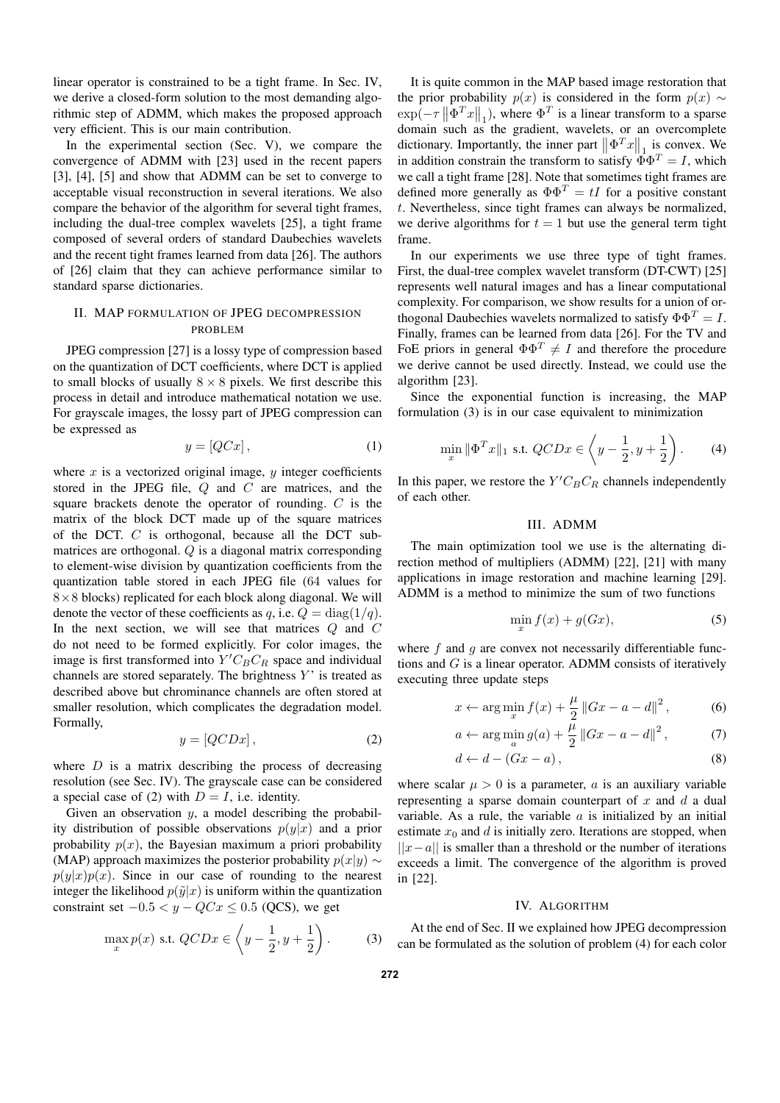linear operator is constrained to be a tight frame. In Sec. IV, we derive a closed-form solution to the most demanding algorithmic step of ADMM, which makes the proposed approach very efficient. This is our main contribution.

In the experimental section (Sec. V), we compare the convergence of ADMM with [23] used in the recent papers [3], [4], [5] and show that ADMM can be set to converge to acceptable visual reconstruction in several iterations. We also compare the behavior of the algorithm for several tight frames, including the dual-tree complex wavelets [25], a tight frame composed of several orders of standard Daubechies wavelets and the recent tight frames learned from data [26]. The authors of [26] claim that they can achieve performance similar to standard sparse dictionaries.

# II. MAP FORMULATION OF JPEG DECOMPRESSION PROBLEM

JPEG compression [27] is a lossy type of compression based on the quantization of DCT coefficients, where DCT is applied to small blocks of usually  $8 \times 8$  pixels. We first describe this process in detail and introduce mathematical notation we use. For grayscale images, the lossy part of JPEG compression can be expressed as

$$
y = [QCx],\tag{1}
$$

where  $x$  is a vectorized original image,  $y$  integer coefficients stored in the JPEG file, Q and C are matrices, and the square brackets denote the operator of rounding. C is the matrix of the block DCT made up of the square matrices of the DCT. C is orthogonal, because all the DCT submatrices are orthogonal. Q is a diagonal matrix corresponding to element-wise division by quantization coefficients from the quantization table stored in each JPEG file (64 values for  $8\times8$  blocks) replicated for each block along diagonal. We will denote the vector of these coefficients as q, i.e.  $Q = \text{diag}(1/q)$ . In the next section, we will see that matrices Q and C do not need to be formed explicitly. For color images, the image is first transformed into  $Y'C_B'C_R$  space and individual channels are stored separately. The brightness  $Y'$  is treated as described above but chrominance channels are often stored at smaller resolution, which complicates the degradation model. Formally,

$$
y = [QCDx], \tag{2}
$$

where  $D$  is a matrix describing the process of decreasing resolution (see Sec. IV). The grayscale case can be considered a special case of (2) with  $D = I$ , i.e. identity.

Given an observation  $y$ , a model describing the probability distribution of possible observations  $p(y|x)$  and a prior probability  $p(x)$ , the Bayesian maximum a priori probability (MAP) approach maximizes the posterior probability  $p(x|y) \sim$  $p(y|x)p(x)$ . Since in our case of rounding to the nearest integer the likelihood  $p(\tilde{y}|x)$  is uniform within the quantization constraint set  $-0.5 < y - QCx \le 0.5$  (QCS), we get

$$
\max_{x} p(x) \text{ s.t. } QCDx \in \left\langle y - \frac{1}{2}, y + \frac{1}{2} \right\rangle. \tag{3}
$$

It is quite common in the MAP based image restoration that the prior probability  $p(x)$  is considered in the form  $p(x) \sim$  $\exp(-\tau \|\Phi^T x\|_1)$ , where  $\Phi^T$  is a linear transform to a sparse domain such as the gradient, wavelets, or an overcomplete dictionary. Importantly, the inner part  $\left\|\Phi^T x\right\|_1$  is convex. We in addition constrain the transform to satisfy  $\overline{\Phi} \Phi^T = I$ , which we call a tight frame [28]. Note that sometimes tight frames are defined more generally as  $\Phi \Phi^T = tI$  for a positive constant t. Nevertheless, since tight frames can always be normalized, we derive algorithms for  $t = 1$  but use the general term tight frame.

In our experiments we use three type of tight frames. First, the dual-tree complex wavelet transform (DT-CWT) [25] represents well natural images and has a linear computational complexity. For comparison, we show results for a union of orthogonal Daubechies wavelets normalized to satisfy  $\Phi \Phi^T = I$ . Finally, frames can be learned from data [26]. For the TV and FoE priors in general  $\Phi \Phi^T \neq I$  and therefore the procedure we derive cannot be used directly. Instead, we could use the algorithm [23].

Since the exponential function is increasing, the MAP formulation (3) is in our case equivalent to minimization

$$
\min_{x} \|\Phi^{T} x\|_{1} \text{ s.t. } QCDx \in \left\langle y - \frac{1}{2}, y + \frac{1}{2} \right\}.
$$
 (4)

In this paper, we restore the  $Y'C_BC_R$  channels independently of each other.

# III. ADMM

The main optimization tool we use is the alternating direction method of multipliers (ADMM) [22], [21] with many applications in image restoration and machine learning [29]. ADMM is a method to minimize the sum of two functions

$$
\min_{x} f(x) + g(Gx),\tag{5}
$$

where  $f$  and  $g$  are convex not necessarily differentiable functions and  $G$  is a linear operator. ADMM consists of iteratively executing three update steps

$$
x \leftarrow \arg\min_{x} f(x) + \frac{\mu}{2} ||Gx - a - d||^2,
$$
 (6)

$$
a \leftarrow \arg\min_{a} g(a) + \frac{\bar{\mu}}{2} ||Gx - a - d||^2, \tag{7}
$$

$$
d \leftarrow d - (Gx - a), \tag{8}
$$

where scalar  $\mu > 0$  is a parameter, a is an auxiliary variable representing a sparse domain counterpart of  $x$  and  $d$  a dual variable. As a rule, the variable  $a$  is initialized by an initial estimate  $x_0$  and  $d$  is initially zero. Iterations are stopped, when  $||x-a||$  is smaller than a threshold or the number of iterations exceeds a limit. The convergence of the algorithm is proved in [22].

#### IV. ALGORITHM

At the end of Sec. II we explained how JPEG decompression can be formulated as the solution of problem (4) for each color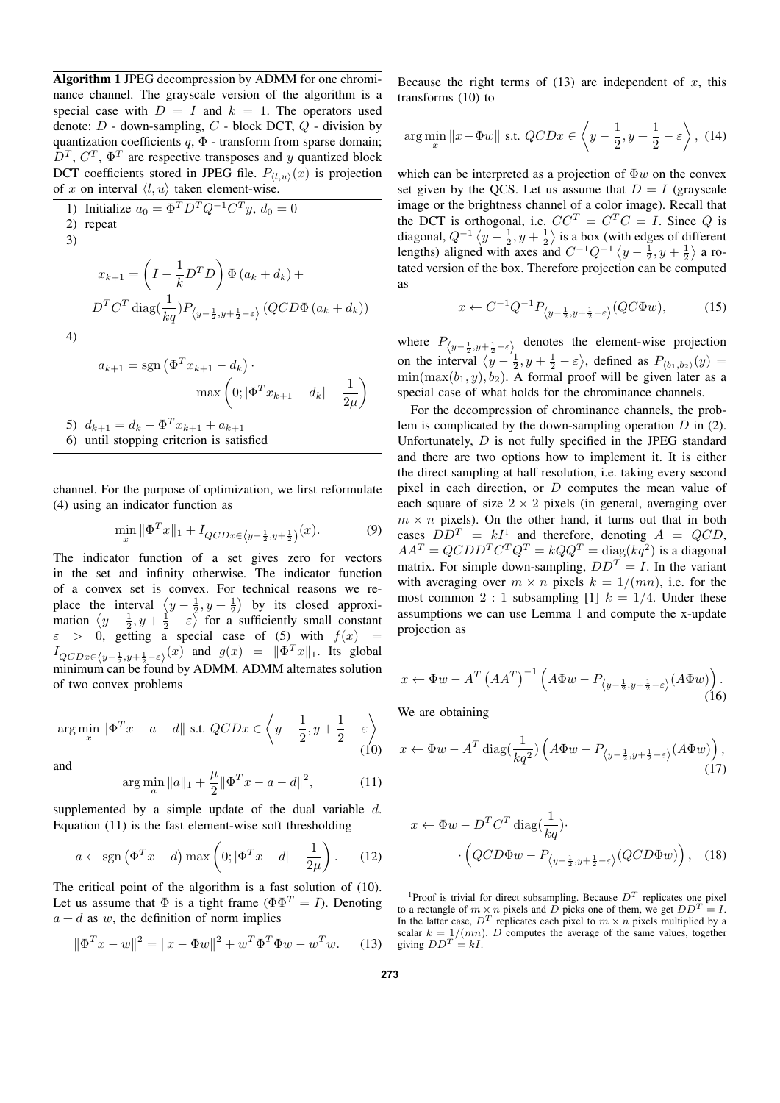Algorithm 1 JPEG decompression by ADMM for one chrominance channel. The grayscale version of the algorithm is a special case with  $D = I$  and  $k = 1$ . The operators used denote:  $D$  - down-sampling,  $C$  - block DCT,  $Q$  - division by quantization coefficients  $q$ ,  $\Phi$  - transform from sparse domain;  $D<sup>T</sup>$ ,  $C<sup>T</sup>$ ,  $\Phi<sup>T</sup>$  are respective transposes and y quantized block DCT coefficients stored in JPEG file.  $P_{(l,u)}(x)$  is projection of x on interval  $\langle l, u \rangle$  taken element-wise.

1) Initialize 
$$
a_0 = \Phi^T D^T Q^{-1} C^T y
$$
,  $d_0 = 0$   
\n2) repeat  
\n3)  
\n
$$
x_{k+1} = \left(I - \frac{1}{k} D^T D\right) \Phi\left(a_k + d_k\right) +
$$
\n
$$
D^T C^T \operatorname{diag}\left(\frac{1}{kq}\right) P_{\left(y - \frac{1}{2}, y + \frac{1}{2} - \varepsilon\right)} \left(QCD\Phi\left(a_k + d_k\right)\right)
$$

4)

$$
a_{k+1} = \text{sgn}\left(\Phi^T x_{k+1} - d_k\right) \cdot \max\left(0; |\Phi^T x_{k+1} - d_k| - \frac{1}{2\mu}\right)
$$

5)  $d_{k+1} = d_k - \Phi^T x_{k+1} + a_{k+1}$ 6) until stopping criterion is satisfied

channel. For the purpose of optimization, we first reformulate (4) using an indicator function as

$$
\min_{x} \|\Phi^{T} x\|_{1} + I_{QCDx \in \left\langle y - \frac{1}{2}, y + \frac{1}{2} \right\rangle}(x). \tag{9}
$$

The indicator function of a set gives zero for vectors in the set and infinity otherwise. The indicator function of a convex set is convex. For technical reasons we replace the interval  $\left\langle y - \frac{1}{2}, y + \frac{1}{2} \right\rangle$  by its closed approximation  $\left\langle y - \frac{1}{2}, y + \frac{1}{2} - \varepsilon \right\rangle$  for a sufficiently small constant  $\varepsilon$  > 0, getting a special case of (5) with  $f(x)$  =  $I_{QCDx \in \left\langle y-\frac{1}{2},y+\frac{1}{2}-\varepsilon \right\rangle}(x)$  and  $g(x) = ||\Phi^T x||_1$ . Its global minimum can be found by ADMM. ADMM alternates solution of two convex problems

$$
\arg\min_{x} \|\Phi^T x - a - d\| \text{ s.t. } QCDx \in \left\langle y - \frac{1}{2}, y + \frac{1}{2} - \varepsilon \right\rangle \tag{10}
$$

and

$$
\arg\min_{a} \|a\|_{1} + \frac{\mu}{2} \|\Phi^{T}x - a - d\|^{2},
$$
\n(11)

supplemented by a simple update of the dual variable  $d$ . Equation (11) is the fast element-wise soft thresholding

$$
a \leftarrow \text{sgn}\left(\Phi^T x - d\right) \max\left(0; |\Phi^T x - d| - \frac{1}{2\mu}\right). \tag{12}
$$

The critical point of the algorithm is a fast solution of (10). Let us assume that  $\Phi$  is a tight frame ( $\Phi \Phi^T = I$ ). Denoting  $a + d$  as w, the definition of norm implies

$$
\|\Phi^T x - w\|^2 = \|x - \Phi w\|^2 + w^T \Phi^T \Phi w - w^T w. \tag{13}
$$

Because the right terms of  $(13)$  are independent of x, this transforms (10) to

$$
\arg\min_{x} \|x - \Phi w\| \text{ s.t. } QCDx \in \left\langle y - \frac{1}{2}, y + \frac{1}{2} - \varepsilon \right\rangle, (14)
$$

which can be interpreted as a projection of  $\Phi w$  on the convex set given by the QCS. Let us assume that  $D = I$  (grayscale image or the brightness channel of a color image). Recall that the DCT is orthogonal, i.e.  $CC^T = C^T C = I$ . Since Q is diagonal,  $Q^{-1} \langle y - \frac{1}{2}, y + \frac{1}{2} \rangle$  is a box (with edges of different lengths) aligned with axes and  $C^{-1}Q^{-1}\left\langle y-\frac{1}{2},y+\frac{1}{2}\right\rangle$  a rotated version of the box. Therefore projection can be computed as

$$
x \leftarrow C^{-1} Q^{-1} P_{\langle y - \frac{1}{2}, y + \frac{1}{2} - \varepsilon \rangle} (Q C \Phi w), \tag{15}
$$

where  $P_{\langle y-\frac{1}{2},y+\frac{1}{2}-\varepsilon \rangle}$  denotes the element-wise projection on the interval  $\langle y - \frac{1}{2}, y + \frac{1}{2} - \varepsilon \rangle$ , defined as  $P_{(b_1, b_2)}(y) =$  $\min(\max(b_1, y), b_2)$ . A formal proof will be given later as a special case of what holds for the chrominance channels.

For the decompression of chrominance channels, the problem is complicated by the down-sampling operation  $D$  in (2). Unfortunately,  $D$  is not fully specified in the JPEG standard and there are two options how to implement it. It is either the direct sampling at half resolution, i.e. taking every second pixel in each direction, or D computes the mean value of each square of size  $2 \times 2$  pixels (in general, averaging over  $m \times n$  pixels). On the other hand, it turns out that in both cases  $DD^T = kI^1$  and therefore, denoting  $A = QCD$ ,  $AA^T = QCDD^TC^TQ^T = kQQ^T = \text{diag}(kq^2)$  is a diagonal matrix. For simple down-sampling,  $DD^T = I$ . In the variant with averaging over  $m \times n$  pixels  $k = 1/(mn)$ , i.e. for the most common 2 : 1 subsampling [1]  $k = 1/4$ . Under these assumptions we can use Lemma 1 and compute the x-update projection as

$$
x \leftarrow \Phi w - A^T \left( A A^T \right)^{-1} \left( A \Phi w - P_{\left\langle y - \frac{1}{2}, y + \frac{1}{2} - \varepsilon \right\rangle} (A \Phi w) \right). \tag{16}
$$

We are obtaining

$$
x \leftarrow \Phi w - A^T \operatorname{diag}(\frac{1}{kq^2}) \left( A \Phi w - P_{\langle y - \frac{1}{2}, y + \frac{1}{2} - \varepsilon \rangle} (A \Phi w) \right),\tag{17}
$$

$$
x \leftarrow \Phi w - D^T C^T \operatorname{diag}(\frac{1}{kq}) \cdot \left(QCD\Phi w - P_{\langle y - \frac{1}{2}, y + \frac{1}{2} - \varepsilon \rangle}(QCD\Phi w)\right), \quad (18)
$$

<sup>1</sup>Proof is trivial for direct subsampling. Because  $D<sup>T</sup>$  replicates one pixel to a rectangle of  $m \times n$  pixels and  $\overline{D}$  picks one of them, we get  $DD^T = I$ . In the latter case,  $D<sup>T</sup>$  replicates each pixel to  $m \times n$  pixels multiplied by a scalar  $k = 1/(mn)$ . D computes the average of the same values, together giving  $DD<sup>T</sup> = kI$ .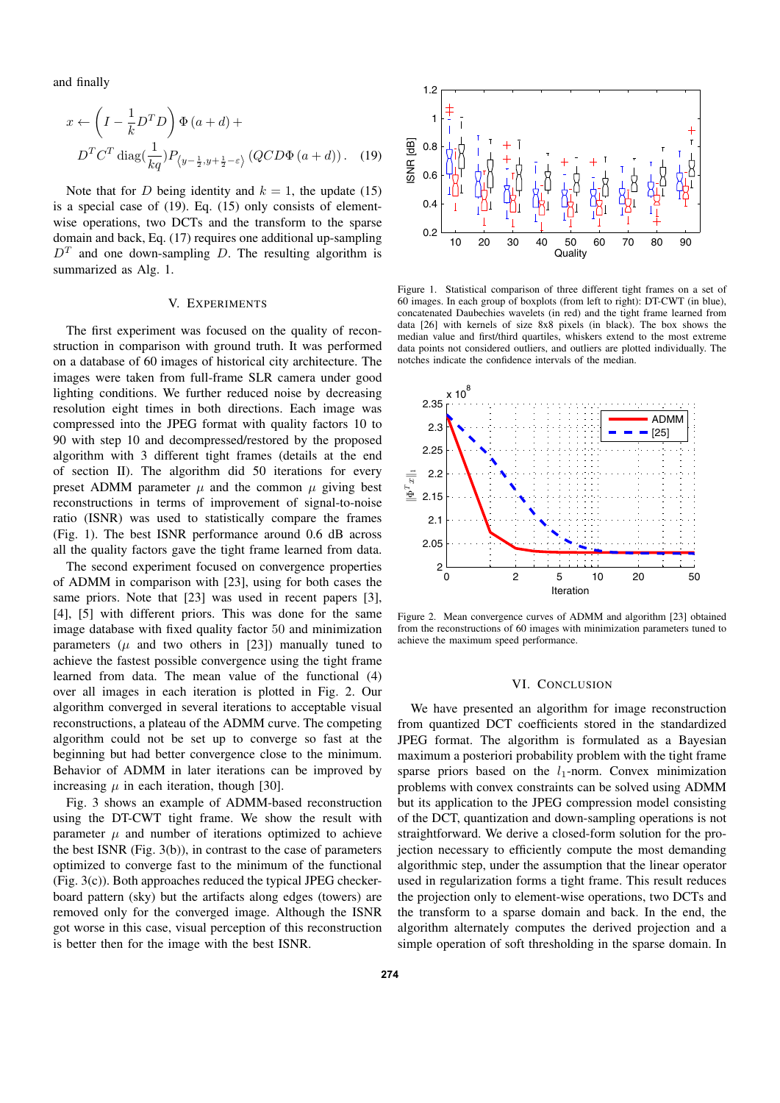and finally

$$
x \leftarrow \left(I - \frac{1}{k}D^T D\right) \Phi\left(a+d\right) +
$$

$$
D^T C^T \operatorname{diag}\left(\frac{1}{kq}\right) P_{\left\langle y - \frac{1}{2}, y + \frac{1}{2} - \varepsilon\right\rangle} \left(QCD\Phi\left(a+d\right)\right). \quad (19)
$$

Note that for D being identity and  $k = 1$ , the update (15) is a special case of (19). Eq. (15) only consists of elementwise operations, two DCTs and the transform to the sparse domain and back, Eq. (17) requires one additional up-sampling  $D<sup>T</sup>$  and one down-sampling D. The resulting algorithm is summarized as Alg. 1.

#### V. EXPERIMENTS

The first experiment was focused on the quality of reconstruction in comparison with ground truth. It was performed on a database of 60 images of historical city architecture. The images were taken from full-frame SLR camera under good lighting conditions. We further reduced noise by decreasing resolution eight times in both directions. Each image was compressed into the JPEG format with quality factors 10 to 90 with step 10 and decompressed/restored by the proposed algorithm with 3 different tight frames (details at the end of section II). The algorithm did 50 iterations for every preset ADMM parameter  $\mu$  and the common  $\mu$  giving best reconstructions in terms of improvement of signal-to-noise ratio (ISNR) was used to statistically compare the frames (Fig. 1). The best ISNR performance around 0.6 dB across all the quality factors gave the tight frame learned from data.

The second experiment focused on convergence properties of ADMM in comparison with [23], using for both cases the same priors. Note that [23] was used in recent papers [3], [4], [5] with different priors. This was done for the same image database with fixed quality factor 50 and minimization parameters ( $\mu$  and two others in [23]) manually tuned to achieve the fastest possible convergence using the tight frame learned from data. The mean value of the functional (4) over all images in each iteration is plotted in Fig. 2. Our algorithm converged in several iterations to acceptable visual reconstructions, a plateau of the ADMM curve. The competing algorithm could not be set up to converge so fast at the beginning but had better convergence close to the minimum. Behavior of ADMM in later iterations can be improved by increasing  $\mu$  in each iteration, though [30].

Fig. 3 shows an example of ADMM-based reconstruction using the DT-CWT tight frame. We show the result with parameter  $\mu$  and number of iterations optimized to achieve the best ISNR (Fig. 3(b)), in contrast to the case of parameters optimized to converge fast to the minimum of the functional (Fig. 3(c)). Both approaches reduced the typical JPEG checkerboard pattern (sky) but the artifacts along edges (towers) are removed only for the converged image. Although the ISNR got worse in this case, visual perception of this reconstruction is better then for the image with the best ISNR.



Figure 1. Statistical comparison of three different tight frames on a set of 60 images. In each group of boxplots (from left to right): DT-CWT (in blue), concatenated Daubechies wavelets (in red) and the tight frame learned from data [26] with kernels of size 8x8 pixels (in black). The box shows the median value and first/third quartiles, whiskers extend to the most extreme data points not considered outliers, and outliers are plotted individually. The notches indicate the confidence intervals of the median.



Figure 2. Mean convergence curves of ADMM and algorithm [23] obtained from the reconstructions of 60 images with minimization parameters tuned to achieve the maximum speed performance.

#### VI. CONCLUSION

We have presented an algorithm for image reconstruction from quantized DCT coefficients stored in the standardized JPEG format. The algorithm is formulated as a Bayesian maximum a posteriori probability problem with the tight frame sparse priors based on the  $l_1$ -norm. Convex minimization problems with convex constraints can be solved using ADMM but its application to the JPEG compression model consisting of the DCT, quantization and down-sampling operations is not straightforward. We derive a closed-form solution for the projection necessary to efficiently compute the most demanding algorithmic step, under the assumption that the linear operator used in regularization forms a tight frame. This result reduces the projection only to element-wise operations, two DCTs and the transform to a sparse domain and back. In the end, the algorithm alternately computes the derived projection and a simple operation of soft thresholding in the sparse domain. In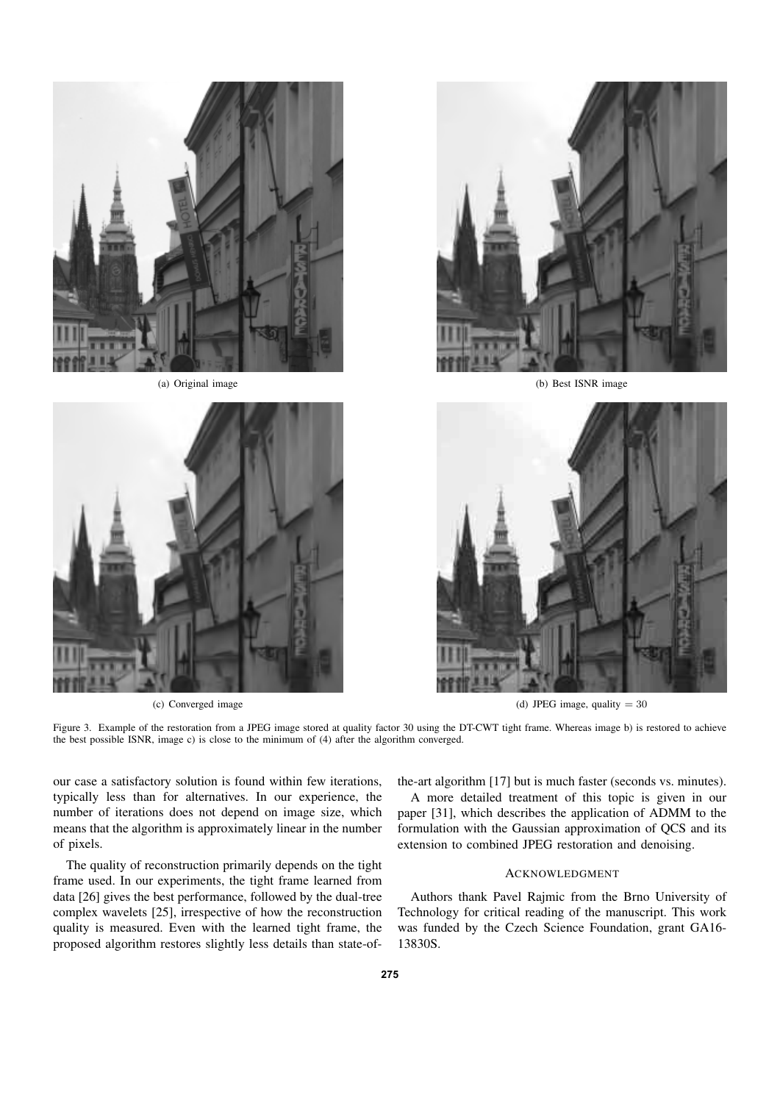





(a) Original image (b) Best ISNR image



(c) Converged image  $\qquad$  (d) JPEG image, quality = 30

Figure 3. Example of the restoration from a JPEG image stored at quality factor 30 using the DT-CWT tight frame. Whereas image b) is restored to achieve the best possible ISNR, image c) is close to the minimum of (4) after the algorithm converged.

our case a satisfactory solution is found within few iterations, typically less than for alternatives. In our experience, the number of iterations does not depend on image size, which means that the algorithm is approximately linear in the number of pixels.

The quality of reconstruction primarily depends on the tight frame used. In our experiments, the tight frame learned from data [26] gives the best performance, followed by the dual-tree complex wavelets [25], irrespective of how the reconstruction quality is measured. Even with the learned tight frame, the proposed algorithm restores slightly less details than state-ofthe-art algorithm [17] but is much faster (seconds vs. minutes).

A more detailed treatment of this topic is given in our paper [31], which describes the application of ADMM to the formulation with the Gaussian approximation of QCS and its extension to combined JPEG restoration and denoising.

#### ACKNOWLEDGMENT

Authors thank Pavel Rajmic from the Brno University of Technology for critical reading of the manuscript. This work was funded by the Czech Science Foundation, grant GA16- 13830S.